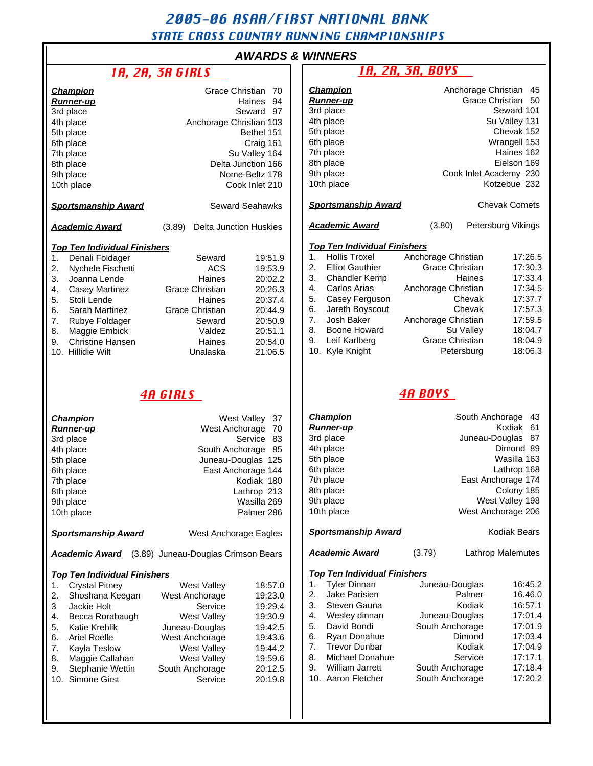# 2005-06 ASAA/FIRST NATIONAL BANK STATE CROSS COUNTRY RUNNING CHAMPIONSHIPS

# AWA

# $1A, 2A, 3A$  GIRLS

|  | RDS & WINNERS |
|--|---------------|
|  |               |

| <b>Champion</b><br><b>Runner-up</b><br>3rd place<br>4th place<br>5th place<br>6th place<br>7th place<br>8th place<br>9th place<br>10th place                                                                                                                                                                                                                  | Grace Christian 70<br>Haines 94<br>Seward 97<br>Anchorage Christian 103<br>Bethel 151<br>Craig 161<br>Su Valley 164<br>Delta Junction 166<br>Nome-Beltz 178<br>Cook Inlet 210 |                                                                                                                                                                    |                                                    | <b>Champion</b><br><b>Runner-up</b><br>3rd place<br>4th place<br>5th place<br>6th place<br>7th place<br>8th place<br>9th place<br>10th place                                                                                                             |                                                                                                                                                                                       |                                                       | Anchorage Christian 45<br>Grace Christian 50<br>Seward 101<br>Su Valley 131<br>Chevak 152<br>Wrangell 153<br>Haines 162<br>Eielson 169<br>Cook Inlet Academy 230<br>Kotzebue 232 |  |
|---------------------------------------------------------------------------------------------------------------------------------------------------------------------------------------------------------------------------------------------------------------------------------------------------------------------------------------------------------------|-------------------------------------------------------------------------------------------------------------------------------------------------------------------------------|--------------------------------------------------------------------------------------------------------------------------------------------------------------------|----------------------------------------------------|----------------------------------------------------------------------------------------------------------------------------------------------------------------------------------------------------------------------------------------------------------|---------------------------------------------------------------------------------------------------------------------------------------------------------------------------------------|-------------------------------------------------------|----------------------------------------------------------------------------------------------------------------------------------------------------------------------------------|--|
| <b>Sportsmanship Award</b>                                                                                                                                                                                                                                                                                                                                    |                                                                                                                                                                               | <b>Sportsmanship Award</b><br><b>Chevak Comets</b><br><b>Seward Seahawks</b>                                                                                       |                                                    |                                                                                                                                                                                                                                                          |                                                                                                                                                                                       |                                                       |                                                                                                                                                                                  |  |
| <b>Academic Award</b>                                                                                                                                                                                                                                                                                                                                         | (3.89)                                                                                                                                                                        | <b>Delta Junction Huskies</b>                                                                                                                                      |                                                    | <b>Academic Award</b>                                                                                                                                                                                                                                    | (3.80)                                                                                                                                                                                |                                                       | Petersburg Vikings                                                                                                                                                               |  |
| <b>Top Ten Individual Finishers</b><br>Denali Foldager<br>1.<br>2.<br>Nychele Fischetti<br>3.<br>Joanna Lende<br>4.<br><b>Casey Martinez</b><br>Stoli Lende<br>5.<br>Sarah Martinez<br>6.<br>7.<br>Rubye Foldager<br>Maggie Embick<br>8.<br>9.<br><b>Christine Hansen</b><br>10. Hillidie Wilt                                                                | Seward<br><b>ACS</b><br>Haines<br><b>Grace Christian</b><br>Haines<br>Grace Christian<br>Seward<br>Valdez<br>Haines<br>Unalaska                                               | 19:51.9<br>19:53.9<br>20:02.2<br>20:26.3<br>20:37.4<br>20:44.9<br>20:50.9<br>20:51.1<br>20:54.0<br>21:06.5                                                         | 1.<br>2.<br>3.<br>4.<br>5.<br>6.<br>7.<br>8.<br>9. | <b>Top Ten Individual Finishers</b><br><b>Hollis Troxel</b><br><b>Elliot Gauthier</b><br><b>Chandler Kemp</b><br>Carlos Arias<br>Casey Ferguson<br>Jareth Boyscout<br>Josh Baker<br>Boone Howard<br>Leif Karlberg<br>10. Kyle Knight                     | Anchorage Christian<br><b>Grace Christian</b><br>Anchorage Christian<br>Anchorage Christian<br>Grace Christian                                                                        | Haines<br>Chevak<br>Chevak<br>Su Valley<br>Petersburg | 17:26.5<br>17:30.3<br>17:33.4<br>17:34.5<br>17:37.7<br>17:57.3<br>17:59.5<br>18:04.7<br>18:04.9<br>18:06.3                                                                       |  |
| <b>4A GIRLS</b>                                                                                                                                                                                                                                                                                                                                               |                                                                                                                                                                               |                                                                                                                                                                    |                                                    | <b>4A BOYS</b>                                                                                                                                                                                                                                           |                                                                                                                                                                                       |                                                       |                                                                                                                                                                                  |  |
| <b>Champion</b><br><b>Runner-up</b><br>3rd place<br>4th place<br>5th place<br>6th place<br>7th place<br>8th place<br>9th place<br>10th place                                                                                                                                                                                                                  | West Anchorage                                                                                                                                                                | West Valley<br>-37<br>70<br>Service 83<br>South Anchorage 85<br>Juneau-Douglas 125<br>East Anchorage 144<br>Kodiak 180<br>Lathrop 213<br>Wasilla 269<br>Palmer 286 |                                                    | <b>Champion</b><br><u>Runner-up</u><br>3rd place<br>4th place<br>5th place<br>6th place<br>7th place<br>8th place<br>9th place<br>10th place                                                                                                             | South Anchorage<br>-43<br>Kodiak 61<br>Juneau-Douglas<br>- 87<br>Dimond 89<br>Wasilla 163<br>Lathrop 168<br>East Anchorage 174<br>Colony 185<br>West Valley 198<br>West Anchorage 206 |                                                       |                                                                                                                                                                                  |  |
| <b>Sportsmanship Award</b>                                                                                                                                                                                                                                                                                                                                    | West Anchorage Eagles                                                                                                                                                         |                                                                                                                                                                    |                                                    | <b>Sportsmanship Award</b>                                                                                                                                                                                                                               |                                                                                                                                                                                       |                                                       | Kodiak Bears                                                                                                                                                                     |  |
| <b>Academic Award</b> (3.89) Juneau-Douglas Crimson Bears<br><b>Top Ten Individual Finishers</b><br><b>Crystal Pitney</b><br>1.<br>2.<br>Shoshana Keegan<br>Jackie Holt<br>3<br>Becca Rorabaugh<br>4.<br>5.<br><b>Katie Krehlik</b><br><b>Ariel Roelle</b><br>6.<br>7.<br>Kayla Teslow<br>8.<br>Maggie Callahan<br>Stephanie Wettin<br>9.<br>10. Simone Girst | West Valley<br>West Anchorage<br>Service<br><b>West Valley</b><br>Juneau-Douglas<br>West Anchorage<br><b>West Valley</b><br><b>West Valley</b><br>South Anchorage<br>Service  | 18:57.0<br>19:23.0<br>19:29.4<br>19:30.9<br>19:42.5<br>19:43.6<br>19:44.2<br>19:59.6<br>20:12.5<br>20:19.8                                                         | 1.<br>2.<br>3.<br>4.<br>5.<br>6.<br>7.<br>8.<br>9. | <b>Academic Award</b><br><b>Top Ten Individual Finishers</b><br><b>Tyler Dinnan</b><br>Jake Parisien<br>Steven Gauna<br>Wesley dinnan<br>David Bondi<br>Ryan Donahue<br><b>Trevor Dunbar</b><br>Michael Donahue<br>William Jarrett<br>10. Aaron Fletcher | (3.79)<br>Juneau-Douglas<br>Juneau-Douglas<br>South Anchorage<br>South Anchorage<br>South Anchorage                                                                                   | Palmer<br>Kodiak<br>Dimond<br>Kodiak<br>Service       | Lathrop Malemutes<br>16:45.2<br>16.46.0<br>16:57.1<br>17:01.4<br>17:01.9<br>17:03.4<br>17:04.9<br>17:17.1<br>17:18.4<br>17:20.2                                                  |  |

| <u>ін, 2Н, 3Н, buys</u>                                                                                                                                                                                                                                                                                                                       |                                                                                                                       |                                                       |                                                                                                                                                  |  |  |  |  |
|-----------------------------------------------------------------------------------------------------------------------------------------------------------------------------------------------------------------------------------------------------------------------------------------------------------------------------------------------|-----------------------------------------------------------------------------------------------------------------------|-------------------------------------------------------|--------------------------------------------------------------------------------------------------------------------------------------------------|--|--|--|--|
| Anchorage Christian<br><u>Champion</u><br>45<br><b>Grace Christian</b><br>50<br><u>Runner-up</u><br>Seward 101<br>3rd place<br>4th place<br>Su Valley 131<br>Chevak 152<br>5th place<br>6th place<br>Wrangell 153<br>7th place<br>Haines 162<br>8th place<br>Eielson 169<br>9th place<br>Cook Inlet Academy 230<br>Kotzebue 232<br>10th place |                                                                                                                       |                                                       |                                                                                                                                                  |  |  |  |  |
| <b>Sportsmanship Award</b>                                                                                                                                                                                                                                                                                                                    |                                                                                                                       |                                                       | Chevak Comets                                                                                                                                    |  |  |  |  |
| <b>Academic Award</b>                                                                                                                                                                                                                                                                                                                         | (3.80)                                                                                                                | Petersburg Vikings                                    |                                                                                                                                                  |  |  |  |  |
| <b>Top Ten Individual Finishers</b><br>1.<br><b>Hollis Troxel</b><br>2.<br><b>Elliot Gauthier</b><br>3.<br><b>Chandler Kemp</b><br>4.<br>Carlos Arias<br>5.<br>Casey Ferguson<br>6.<br>Jareth Boyscout<br>7.<br>Josh Baker<br>8.<br>Boone Howard<br>Leif Karlberg<br>9.<br>10.<br>Kyle Knight                                                 | Anchorage Christian<br><b>Grace Christian</b><br>Anchorage Christian<br>Anchorage Christian<br><b>Grace Christian</b> | Haines<br>Chevak<br>Chevak<br>Su Valley<br>Petersburg | 17:26.5<br>17:30.3<br>17:33.4<br>17:34.5<br>17:37.7<br>17:57.3<br>17:59.5<br>18:04.7<br>18:04.9<br>18:06.3                                       |  |  |  |  |
|                                                                                                                                                                                                                                                                                                                                               | <i><b>4A BOYS</b></i>                                                                                                 |                                                       |                                                                                                                                                  |  |  |  |  |
| <u>Champion</u><br><u>Runner-up</u><br>3rd place<br>4th place<br>5th place<br>6th place<br>7th place<br>8th place<br>9th place<br>10th place                                                                                                                                                                                                  |                                                                                                                       | South Anchorage<br>Juneau-Douglas                     | 43<br>Kodiak<br>61<br>87<br>Dimond 89<br>Wasilla 163<br>Lathrop 168<br>East Anchorage 174<br>Colony 185<br>West Valley 198<br>West Anchorage 206 |  |  |  |  |
| Kodiak Bears<br><b>Sportsmanship Award</b>                                                                                                                                                                                                                                                                                                    |                                                                                                                       |                                                       |                                                                                                                                                  |  |  |  |  |
| <b>Academic Award</b>                                                                                                                                                                                                                                                                                                                         | (3.79)                                                                                                                |                                                       | Lathrop Malemutes                                                                                                                                |  |  |  |  |
| <b>Top Ten Individual Finishers</b><br>1.<br><b>Tyler Dinnan</b><br>2.<br>Jake Parisien<br>3.<br>Steven Gauna<br>4.<br>Wesley dinnan<br>5.<br>David Bondi                                                                                                                                                                                     | Juneau-Douglas<br>Juneau-Douglas<br>South Anchorage                                                                   | Palmer<br>Kodiak                                      | 16:45.2<br>16.46.0<br>16:57.1<br>17:01.4<br>17:01.9                                                                                              |  |  |  |  |